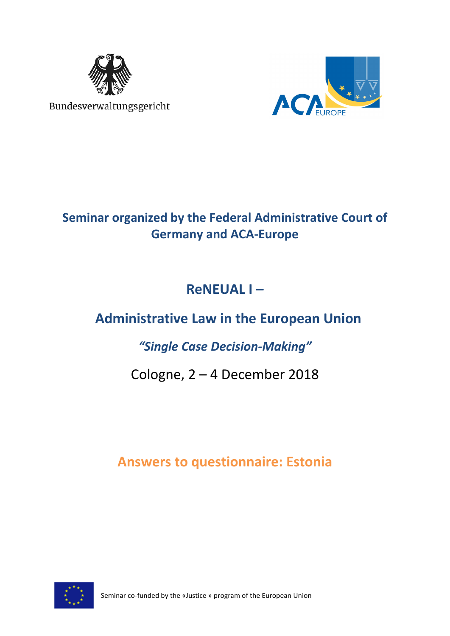

Bundesverwaltungsgericht



# **Seminar organized by the Federal Administrative Court of Germany and ACA-Europe**

# **ReNEUAL I –**

# **Administrative Law in the European Union**

# *"Single Case Decision-Making"*

# Cologne, 2 – 4 December 2018

# **Answers to questionnaire: Estonia**



Seminar co-funded by the «Justice » program of the European Union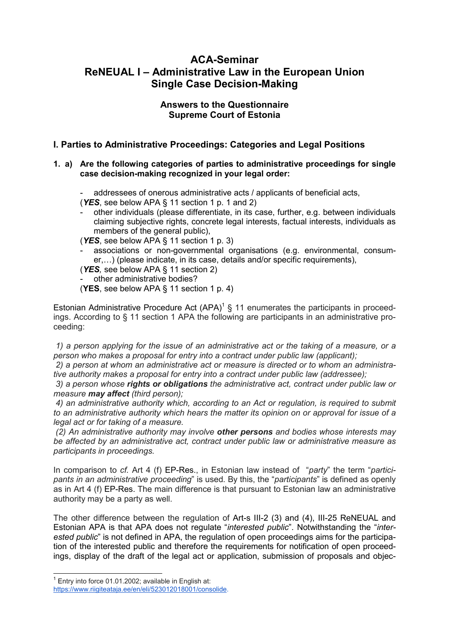# **ACA-Seminar ReNEUAL I – Administrative Law in the European Union Single Case Decision-Making**

## **Answers to the Questionnaire Supreme Court of Estonia**

## **I. Parties to Administrative Proceedings: Categories and Legal Positions**

#### **1. a) Are the following categories of parties to administrative proceedings for single case decision-making recognized in your legal order:**

addressees of onerous administrative acts / applicants of beneficial acts,

- (*YES*, see below APA § 11 section 1 p. 1 and 2)
- other individuals (please differentiate, in its case, further, e.g. between individuals claiming subjective rights, concrete legal interests, factual interests, individuals as members of the general public),

(*YES*, see below APA § 11 section 1 p. 3)

- associations or non-governmental organisations (e.g. environmental, consumer,...) (please indicate, in its case, details and/or specific requirements),

(*YES,* see below APA § 11 section 2)

other administrative bodies?

(**YES**, see below APA § 11 section 1 p. 4)

Estonian Administrative Procedure Act  $(APA)^1 \$  11 enumerates the participants in proceedings. According to § 11 section 1 APA the following are participants in an administrative proceeding:

*1) a person applying for the issue of an administrative act or the taking of a measure, or a person who makes a proposal for entry into a contract under public law (applicant);* 

*2) a person at whom an administrative act or measure is directed or to whom an administrative authority makes a proposal for entry into a contract under public law (addressee);* 

*3) a person whose rights or obligations the administrative act, contract under public law or measure may affect (third person);* 

*4) an administrative authority which, according to an Act or regulation, is required to submit to an administrative authority which hears the matter its opinion on or approval for issue of a legal act or for taking of a measure.* 

*(2) An administrative authority may involve other persons and bodies whose interests may be affected by an administrative act, contract under public law or administrative measure as participants in proceedings.*

In comparison to *cf.* Art 4 (f) EP-Res., in Estonian law instead of "*party*" the term "*participants in an administrative proceeding*" is used. By this, the "*participants*" is defined as openly as in Art 4 (f) EP-Res. The main difference is that pursuant to Estonian law an administrative authority may be a party as well.

The other difference between the regulation of Art-s III-2 (3) and (4), III-25 ReNEUAL and Estonian APA is that APA does not regulate "*interested public*". Notwithstanding the "*interested public*" is not defined in APA, the regulation of open proceedings aims for the participation of the interested public and therefore the requirements for notification of open proceedings, display of the draft of the legal act or application, submission of proposals and objec-

 $1$  Entry into force 01.01.2002: available in English at: https://www.riigiteataja.ee/en/eli/523012018001/consolide.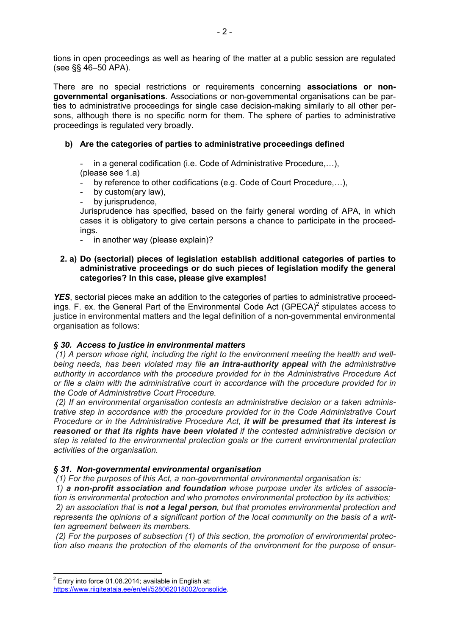tions in open proceedings as well as hearing of the matter at a public session are regulated (see §§ 46–50 APA).

There are no special restrictions or requirements concerning **associations or nongovernmental organisations**. Associations or non-governmental organisations can be parties to administrative proceedings for single case decision-making similarly to all other persons, although there is no specific norm for them. The sphere of parties to administrative proceedings is regulated very broadly.

### **b) Are the categories of parties to administrative proceedings defined**

in a general codification (i.e. Code of Administrative Procedure, $...$ ), (please see 1.a)

by reference to other codifications (e.g. Code of Court Procedure,...),

- by custom(ary law).
- by jurisprudence,

Jurisprudence has specified, based on the fairly general wording of APA, in which cases it is obligatory to give certain persons a chance to participate in the proceedings.

- in another way (please explain)?

#### **2. a) Do (sectorial) pieces of legislation establish additional categories of parties to administrative proceedings or do such pieces of legislation modify the general categories? In this case, please give examples!**

**YES**, sectorial pieces make an addition to the categories of parties to administrative proceedings. F. ex. the General Part of the Environmental Code Act (GPECA)<sup>2</sup> stipulates access to justice in environmental matters and the legal definition of a non-governmental environmental organisation as follows:

#### *§ 30. Access to justice in environmental matters*

*(1) A person whose right, including the right to the environment meeting the health and wellbeing needs, has been violated may file an intra-authority appeal with the administrative authority in accordance with the procedure provided for in the Administrative Procedure Act or file a claim with the administrative court in accordance with the procedure provided for in the Code of Administrative Court Procedure.* 

*(2) If an environmental organisation contests an administrative decision or a taken administrative step in accordance with the procedure provided for in the Code Administrative Court Procedure or in the Administrative Procedure Act, it will be presumed that its interest is reasoned or that its rights have been violated if the contested administrative decision or step is related to the environmental protection goals or the current environmental protection activities of the organisation.* 

#### *§ 31. Non-governmental environmental organisation*

*(1) For the purposes of this Act, a non-governmental environmental organisation is:* 

*1) a non-profit association and foundation whose purpose under its articles of association is environmental protection and who promotes environmental protection by its activities;* 

*2) an association that is not a legal person, but that promotes environmental protection and represents the opinions of a significant portion of the local community on the basis of a written agreement between its members.* 

*(2) For the purposes of subsection (1) of this section, the promotion of environmental protection also means the protection of the elements of the environment for the purpose of ensur-*

 $2$  Entry into force 01.08.2014: available in English at: https://www.riigiteataja.ee/en/eli/528062018002/consolide.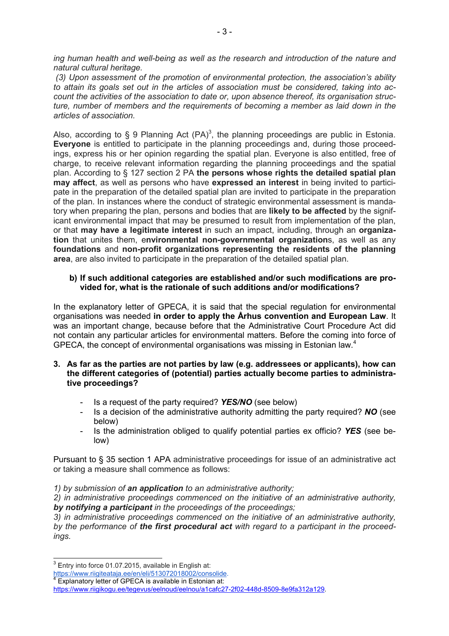*ing human health and well-being as well as the research and introduction of the nature and natural cultural heritage.* 

*(3) Upon assessment of the promotion of environmental protection, the association's ability to attain its goals set out in the articles of association must be considered, taking into account the activities of the association to date or, upon absence thereof, its organisation structure, number of members and the requirements of becoming a member as laid down in the articles of association.* 

Also, according to § 9 Planning Act (PA)<sup>3</sup>, the planning proceedings are public in Estonia. **Everyone** is entitled to participate in the planning proceedings and, during those proceedings, express his or her opinion regarding the spatial plan. Everyone is also entitled, free of charge, to receive relevant information regarding the planning proceedings and the spatial plan. According to § 127 section 2 PA **the persons whose rights the detailed spatial plan may affect**, as well as persons who have **expressed an interest** in being invited to participate in the preparation of the detailed spatial plan are invited to participate in the preparation of the plan. In instances where the conduct of strategic environmental assessment is mandatory when preparing the plan, persons and bodies that are **likely to be affected** by the significant environmental impact that may be presumed to result from implementation of the plan, or that **may have a legitimate interest** in such an impact, including, through an **organization** that unites them, e**nvironmental non-governmental organization**s, as well as any **foundations** and **non-profit organizations representing the residents of the planning area**, are also invited to participate in the preparation of the detailed spatial plan.

#### **b) If such additional categories are established and/or such modifications are provided for, what is the rationale of such additions and/or modifications?**

In the explanatory letter of GPECA, it is said that the special regulation for environmental organisations was needed **in order to apply the Århus convention and European Law**. It was an important change, because before that the Administrative Court Procedure Act did not contain any particular articles for environmental matters. Before the coming into force of GPECA, the concept of environmental organisations was missing in Estonian law.<sup>4</sup>

- **3. As far as the parties are not parties by law (e.g. addressees or applicants), how can the different categories of (potential) parties actually become parties to administrative proceedings?** 
	- Is a request of the party required? *YES/NO* (see below)
	- Is a decision of the administrative authority admitting the party required? *NO* (see below)
	- Is the administration obliged to qualify potential parties ex officio? *YES* (see below)

Pursuant to § 35 section 1 APA administrative proceedings for issue of an administrative act or taking a measure shall commence as follows:

*1) by submission of an application to an administrative authority;* 

*2) in administrative proceedings commenced on the initiative of an administrative authority, by notifying a participant in the proceedings of the proceedings;* 

*3) in administrative proceedings commenced on the initiative of an administrative authority, by the performance of the first procedural act with regard to a participant in the proceedings.* 

Explanatory letter of GPECA is available in Estonian at:

 $3$  Entry into force 01.07.2015, available in English at:

https://www.riigiteataja.ee/en/eli/513072018002/consolide.

https://www.riigikogu.ee/tegevus/eelnoud/eelnou/a1cafc27-2f02-448d-8509-8e9fa312a129.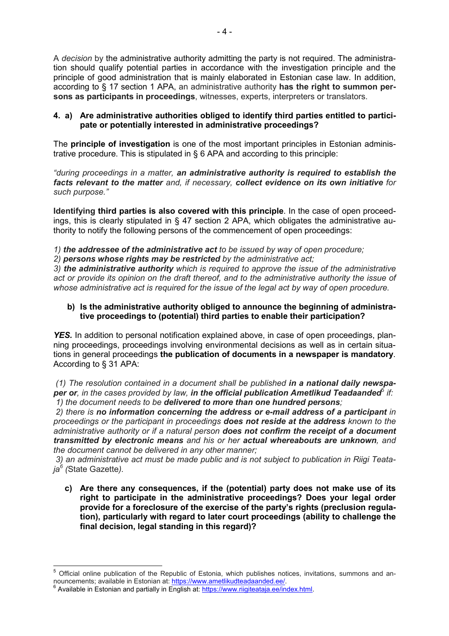A *decision* by the administrative authority admitting the party is not required. The administration should qualify potential parties in accordance with the investigation principle and the principle of good administration that is mainly elaborated in Estonian case law. In addition, according to § 17 section 1 APA, an administrative authority **has the right to summon persons as participants in proceedings**, witnesses, experts, interpreters or translators.

#### **4. a) Are administrative authorities obliged to identify third parties entitled to participate or potentially interested in administrative proceedings?**

The **principle of investigation** is one of the most important principles in Estonian administrative procedure. This is stipulated in § 6 APA and according to this principle:

*"during proceedings in a matter, an administrative authority is required to establish the facts relevant to the matter and, if necessary, collect evidence on its own initiative for such purpose."* 

**Identifying third parties is also covered with this principle**. In the case of open proceedings, this is clearly stipulated in § 47 section 2 APA, which obligates the administrative authority to notify the following persons of the commencement of open proceedings:

*1) the addressee of the administrative act to be issued by way of open procedure;* 

*2) persons whose rights may be restricted by the administrative act;* 

*3) the administrative authority which is required to approve the issue of the administrative act or provide its opinion on the draft thereof, and to the administrative authority the issue of whose administrative act is required for the issue of the legal act by way of open procedure.*

#### **b) Is the administrative authority obliged to announce the beginning of administrative proceedings to (potential) third parties to enable their participation?**

*YES.* In addition to personal notification explained above, in case of open proceedings, planning proceedings, proceedings involving environmental decisions as well as in certain situations in general proceedings **the publication of documents in a newspaper is mandatory**. According to § 31 APA:

*(1) The resolution contained in a document shall be published in a national daily newspaper or, in the cases provided by law, in the official publication Ametlikud Teadaanded*<sup>5</sup>  *if: 1) the document needs to be delivered to more than one hundred persons;* 

*2) there is no information concerning the address or e-mail address of a participant in proceedings or the participant in proceedings does not reside at the address known to the administrative authority or if a natural person does not confirm the receipt of a document transmitted by electronic means and his or her actual whereabouts are unknown, and the document cannot be delivered in any other manner;* 

*3) an administrative act must be made public and is not subject to publication in Riigi Teataja<sup>6</sup> (*State Gazette*).*

**c) Are there any consequences, if the (potential) party does not make use of its right to participate in the administrative proceedings? Does your legal order provide for a foreclosure of the exercise of the party's rights (preclusion regulation), particularly with regard to later court proceedings (ability to challenge the final decision, legal standing in this regard)?** 

l

<sup>5</sup> Official online publication of the Republic of Estonia, which publishes notices, invitations, summons and announcements; available in Estonian at: <u>https://www.ametlikudteadaanded.ee/</u>.<br><sup>6</sup> Available in Estonian and partially in English at: https://www.riigiteataja.ee/index.html.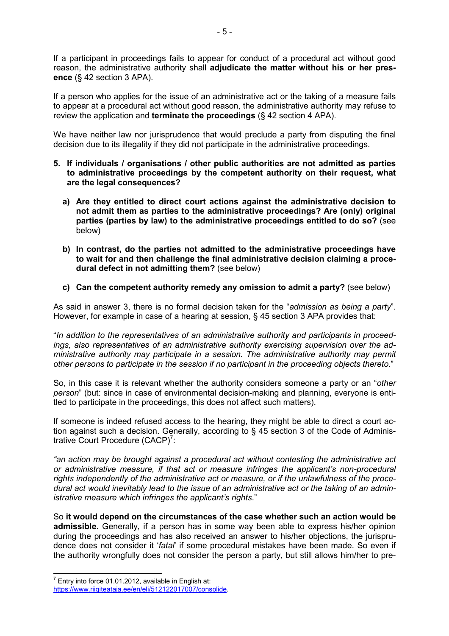If a participant in proceedings fails to appear for conduct of a procedural act without good reason, the administrative authority shall **adjudicate the matter without his or her presence** (§ 42 section 3 APA).

If a person who applies for the issue of an administrative act or the taking of a measure fails to appear at a procedural act without good reason, the administrative authority may refuse to review the application and **terminate the proceedings** (§ 42 section 4 APA).

We have neither law nor jurisprudence that would preclude a party from disputing the final decision due to its illegality if they did not participate in the administrative proceedings.

- **5. If individuals / organisations / other public authorities are not admitted as parties to administrative proceedings by the competent authority on their request, what are the legal consequences?** 
	- **a) Are they entitled to direct court actions against the administrative decision to not admit them as parties to the administrative proceedings? Are (only) original parties (parties by law) to the administrative proceedings entitled to do so?** (see below)
	- **b) In contrast, do the parties not admitted to the administrative proceedings have to wait for and then challenge the final administrative decision claiming a procedural defect in not admitting them?** (see below)
	- **c) Can the competent authority remedy any omission to admit a party?** (see below)

As said in answer 3, there is no formal decision taken for the "*admission as being a party*". However, for example in case of a hearing at session, § 45 section 3 APA provides that:

"*In addition to the representatives of an administrative authority and participants in proceedings, also representatives of an administrative authority exercising supervision over the administrative authority may participate in a session. The administrative authority may permit other persons to participate in the session if no participant in the proceeding objects thereto.*"

So, in this case it is relevant whether the authority considers someone a party or an "*other person*" (but: since in case of environmental decision-making and planning, everyone is entitled to participate in the proceedings, this does not affect such matters).

If someone is indeed refused access to the hearing, they might be able to direct a court action against such a decision. Generally, according to § 45 section 3 of the Code of Administrative Court Procedure  $(CACP)^7$ :

*"an action may be brought against a procedural act without contesting the administrative act or administrative measure, if that act or measure infringes the applicant's non-procedural rights independently of the administrative act or measure, or if the unlawfulness of the procedural act would inevitably lead to the issue of an administrative act or the taking of an administrative measure which infringes the applicant's rights*."

So **it would depend on the circumstances of the case whether such an action would be admissible**. Generally, if a person has in some way been able to express his/her opinion during the proceedings and has also received an answer to his/her objections, the jurisprudence does not consider it '*fatal*' if some procedural mistakes have been made. So even if the authority wrongfully does not consider the person a party, but still allows him/her to pre-

 $7$  Entry into force 01.01.2012, available in English at: https://www.riigiteataja.ee/en/eli/512122017007/consolide.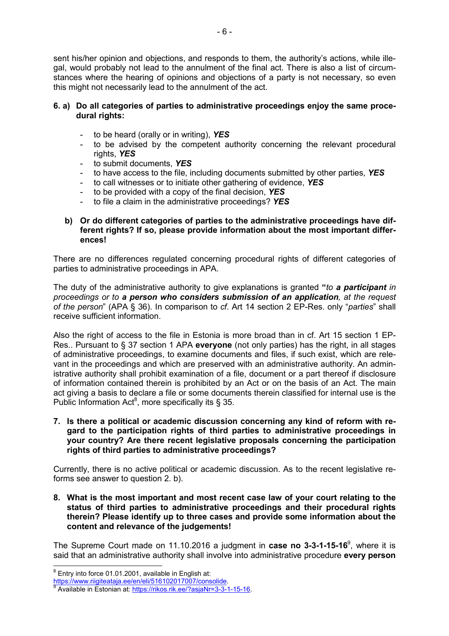sent his/her opinion and objections, and responds to them, the authority's actions, while illegal, would probably not lead to the annulment of the final act. There is also a list of circumstances where the hearing of opinions and objections of a party is not necessary, so even this might not necessarily lead to the annulment of the act.

#### **6. a) Do all categories of parties to administrative proceedings enjoy the same procedural rights:**

- to be heard (orally or in writing), *YES*
- to be advised by the competent authority concerning the relevant procedural rights, *YES*
- to submit documents, *YES*
- to have access to the file, including documents submitted by other parties, *YES*
- to call witnesses or to initiate other gathering of evidence, *YES*
- to be provided with a copy of the final decision, *YES*
- to file a claim in the administrative proceedings? *YES*

#### **b) Or do different categories of parties to the administrative proceedings have different rights? If so, please provide information about the most important differences!**

There are no differences regulated concerning procedural rights of different categories of parties to administrative proceedings in APA.

The duty of the administrative authority to give explanations is granted **"***to a participant in proceedings or to a person who considers submission of an application, at the request of the person*" (APA § 36). In comparison to *cf*. Art 14 section 2 EP-Res. only "*parties*" shall receive sufficient information.

Also the right of access to the file in Estonia is more broad than in cf. Art 15 section 1 EP-Res.. Pursuant to § 37 section 1 APA **everyone** (not only parties) has the right, in all stages of administrative proceedings, to examine documents and files, if such exist, which are relevant in the proceedings and which are preserved with an administrative authority. An administrative authority shall prohibit examination of a file, document or a part thereof if disclosure of information contained therein is prohibited by an Act or on the basis of an Act. The main act giving a basis to declare a file or some documents therein classified for internal use is the Public Information Act<sup>8</sup>, more specifically its § 35.

**7. Is there a political or academic discussion concerning any kind of reform with regard to the participation rights of third parties to administrative proceedings in your country? Are there recent legislative proposals concerning the participation rights of third parties to administrative proceedings?** 

Currently, there is no active political or academic discussion. As to the recent legislative reforms see answer to question 2. b).

**8. What is the most important and most recent case law of your court relating to the status of third parties to administrative proceedings and their procedural rights therein? Please identify up to three cases and provide some information about the content and relevance of the judgements!** 

The Supreme Court made on 11.10.2016 a judgment in **case no 3-3-1-15-16**<sup>9</sup> , where it is said that an administrative authority shall involve into administrative procedure **every person**  l

 $8$  Entry into force 01.01.2001, available in English at:

https://www.riigiteataja.ee/en/eli/516102017007/consolide.<br>8 Avril 1980

Available in Estonian at: https://rikos.rik.ee/?asjaNr=3-3-1-15-16.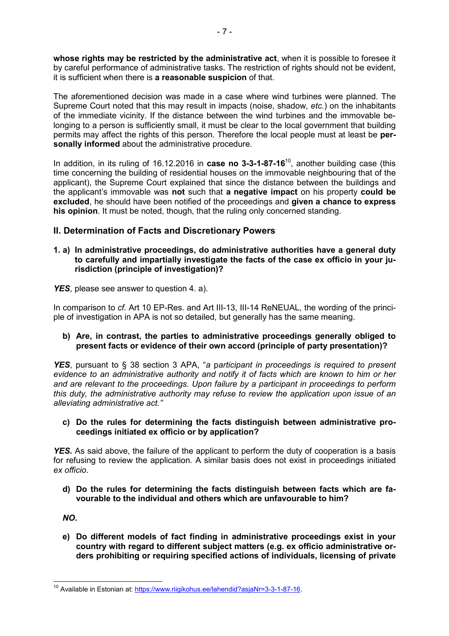**whose rights may be restricted by the administrative act**, when it is possible to foresee it by careful performance of administrative tasks. The restriction of rights should not be evident, it is sufficient when there is **a reasonable suspicion** of that.

The aforementioned decision was made in a case where wind turbines were planned. The Supreme Court noted that this may result in impacts (noise, shadow, *etc.*) on the inhabitants of the immediate vicinity. If the distance between the wind turbines and the immovable belonging to a person is sufficiently small, it must be clear to the local government that building permits may affect the rights of this person. Therefore the local people must at least be **personally informed** about the administrative procedure.

In addition, in its ruling of 16.12.2016 in **case no 3-3-1-87-16**<sup>10</sup>, another building case (this time concerning the building of residential houses on the immovable neighbouring that of the applicant), the Supreme Court explained that since the distance between the buildings and the applicant's immovable was **not** such that **a negative impact** on his property **could be excluded**, he should have been notified of the proceedings and **given a chance to express his opinion**. It must be noted, though, that the ruling only concerned standing.

# **II. Determination of Facts and Discretionary Powers**

- **1. a) In administrative proceedings, do administrative authorities have a general duty to carefully and impartially investigate the facts of the case ex officio in your jurisdiction (principle of investigation)?**
- **YES**, please see answer to question 4. a).

In comparison to *cf.* Art 10 EP-Res. and Art III-13, III-14 ReNEUAL, the wording of the principle of investigation in APA is not so detailed, but generally has the same meaning.

### **b) Are, in contrast, the parties to administrative proceedings generally obliged to present facts or evidence of their own accord (principle of party presentation)?**

*YES*, pursuant to § 38 section 3 APA, "*a* p*articipant in proceedings is required to present evidence to an administrative authority and notify it of facts which are known to him or her and are relevant to the proceedings. Upon failure by a participant in proceedings to perform this duty, the administrative authority may refuse to review the application upon issue of an alleviating administrative act."* 

**c) Do the rules for determining the facts distinguish between administrative proceedings initiated ex officio or by application?** 

*YES.* As said above, the failure of the applicant to perform the duty of cooperation is a basis for refusing to review the application. A similar basis does not exist in proceedings initiated *ex officio*.

**d) Do the rules for determining the facts distinguish between facts which are favourable to the individual and others which are unfavourable to him?** 

*NO.* 

**e) Do different models of fact finding in administrative proceedings exist in your country with regard to different subject matters (e.g. ex officio administrative orders prohibiting or requiring specified actions of individuals, licensing of private** 

<sup>&</sup>lt;sup>10</sup> Available in Estonian at: https://www.riigikohus.ee/lahendid?asjaNr=3-3-1-87-16.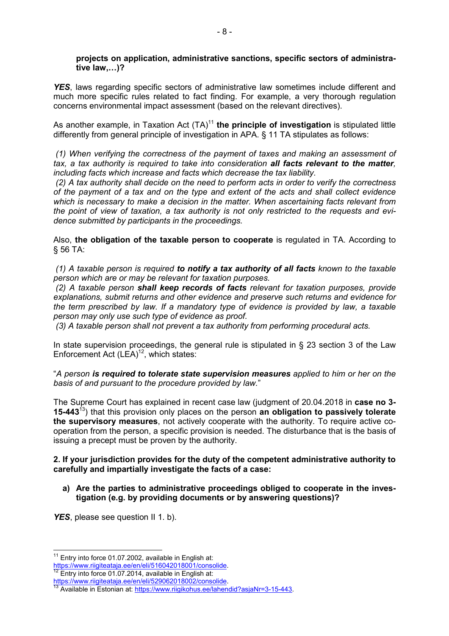#### **projects on application, administrative sanctions, specific sectors of administrative law,B)?**

**YES**, laws regarding specific sectors of administrative law sometimes include different and much more specific rules related to fact finding. For example, a very thorough regulation concerns environmental impact assessment (based on the relevant directives).

As another example, in Taxation Act (TA)<sup>11</sup> the principle of investigation is stipulated little differently from general principle of investigation in APA. § 11 TA stipulates as follows:

*(1) When verifying the correctness of the payment of taxes and making an assessment of tax, a tax authority is required to take into consideration all facts relevant to the matter, including facts which increase and facts which decrease the tax liability.* 

 *(2) A tax authority shall decide on the need to perform acts in order to verify the correctness of the payment of a tax and on the type and extent of the acts and shall collect evidence which is necessary to make a decision in the matter. When ascertaining facts relevant from the point of view of taxation, a tax authority is not only restricted to the requests and evidence submitted by participants in the proceedings.*

Also, **the obligation of the taxable person to cooperate** is regulated in TA. According to § 56 TA:

*(1) A taxable person is required to notify a tax authority of all facts known to the taxable person which are or may be relevant for taxation purposes.* 

 *(2) A taxable person shall keep records of facts relevant for taxation purposes, provide explanations, submit returns and other evidence and preserve such returns and evidence for the term prescribed by law. If a mandatory type of evidence is provided by law, a taxable person may only use such type of evidence as proof.*

 *(3) A taxable person shall not prevent a tax authority from performing procedural acts.* 

In state supervision proceedings, the general rule is stipulated in  $\S$  23 section 3 of the Law Enforcement Act  $(LEA)^{12}$ , which states:

"*A person is required to tolerate state supervision measures applied to him or her on the basis of and pursuant to the procedure provided by law.*"

The Supreme Court has explained in recent case law (judgment of 20.04.2018 in **case no 3- 15-443**<sup>13</sup>) that this provision only places on the person **an obligation to passively tolerate the supervisory measures**, not actively cooperate with the authority. To require active cooperation from the person, a specific provision is needed. The disturbance that is the basis of issuing a precept must be proven by the authority.

#### **2. If your jurisdiction provides for the duty of the competent administrative authority to carefully and impartially investigate the facts of a case:**

**a) Are the parties to administrative proceedings obliged to cooperate in the investigation (e.g. by providing documents or by answering questions)?** 

**YES**, please see question II 1. b).

l

<sup>&</sup>lt;sup>11</sup> Entrv into force 01.07.2002, available in English at:

https://www.riigiteataja.ee/en/eli/516042018001/consolide.

Entry into force 01.07.2014, available in English at:

https://www.riigiteataja.ee/en/eli/529062018002/consolide.

<sup>13</sup> Available in Estonian at: https://www.riigikohus.ee/lahendid?asiaNr=3-15-443.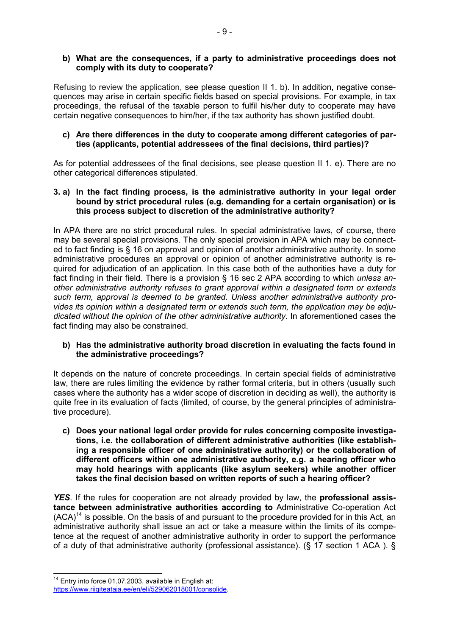#### **b) What are the consequences, if a party to administrative proceedings does not comply with its duty to cooperate?**

Refusing to review the application, see please question II 1. b). In addition, negative consequences may arise in certain specific fields based on special provisions. For example, in tax proceedings, the refusal of the taxable person to fulfil his/her duty to cooperate may have certain negative consequences to him/her, if the tax authority has shown justified doubt.

#### **c) Are there differences in the duty to cooperate among different categories of parties (applicants, potential addressees of the final decisions, third parties)?**

As for potential addressees of the final decisions, see please question II 1. e). There are no other categorical differences stipulated.

#### **3. a) In the fact finding process, is the administrative authority in your legal order bound by strict procedural rules (e.g. demanding for a certain organisation) or is this process subject to discretion of the administrative authority?**

In APA there are no strict procedural rules. In special administrative laws, of course, there may be several special provisions. The only special provision in APA which may be connected to fact finding is § 16 on approval and opinion of another administrative authority. In some administrative procedures an approval or opinion of another administrative authority is required for adjudication of an application. In this case both of the authorities have a duty for fact finding in their field. There is a provision § 16 sec 2 APA according to which *unless another administrative authority refuses to grant approval within a designated term or extends such term, approval is deemed to be granted. Unless another administrative authority provides its opinion within a designated term or extends such term, the application may be adjudicated without the opinion of the other administrative authority.* In aforementioned cases the fact finding may also be constrained.

#### **b) Has the administrative authority broad discretion in evaluating the facts found in the administrative proceedings?**

It depends on the nature of concrete proceedings. In certain special fields of administrative law, there are rules limiting the evidence by rather formal criteria, but in others (usually such cases where the authority has a wider scope of discretion in deciding as well), the authority is quite free in its evaluation of facts (limited, of course, by the general principles of administrative procedure).

**c) Does your national legal order provide for rules concerning composite investigations, i.e. the collaboration of different administrative authorities (like establishing a responsible officer of one administrative authority) or the collaboration of different officers within one administrative authority, e.g. a hearing officer who may hold hearings with applicants (like asylum seekers) while another officer takes the final decision based on written reports of such a hearing officer?** 

*YES*. If the rules for cooperation are not already provided by law, the **professional assistance between administrative authorities according to** Administrative Co-operation Act  $(ACA)^{14}$  is possible. On the basis of and pursuant to the procedure provided for in this Act, an administrative authority shall issue an act or take a measure within the limits of its competence at the request of another administrative authority in order to support the performance of a duty of that administrative authority (professional assistance). (§ 17 section 1 ACA ). §

<sup>&</sup>lt;sup>14</sup> Entry into force 01.07.2003, available in English at: https://www.riigiteataja.ee/en/eli/529062018001/consolide.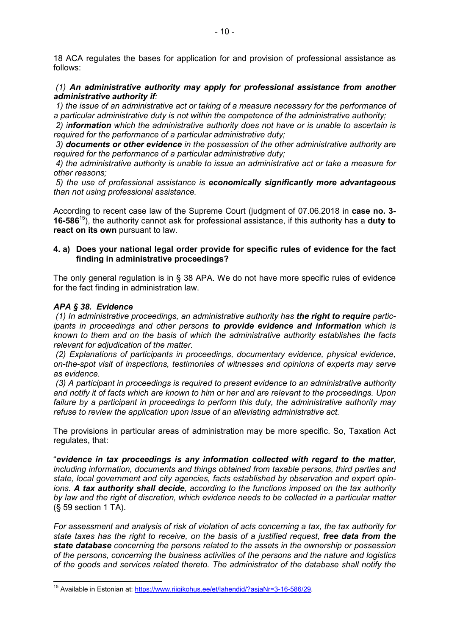18 ACA regulates the bases for application for and provision of professional assistance as follows:

 *(1) An administrative authority may apply for professional assistance from another administrative authority if:* 

 *1) the issue of an administrative act or taking of a measure necessary for the performance of a particular administrative duty is not within the competence of the administrative authority;* 

 *2) information which the administrative authority does not have or is unable to ascertain is required for the performance of a particular administrative duty;* 

 *3) documents or other evidence in the possession of the other administrative authority are required for the performance of a particular administrative duty;* 

 *4) the administrative authority is unable to issue an administrative act or take a measure for other reasons;* 

 *5) the use of professional assistance is economically significantly more advantageous than not using professional assistance.* 

According to recent case law of the Supreme Court (judgment of 07.06.2018 in **case no. 3- 16-586**<sup>15</sup>), the authority cannot ask for professional assistance, if this authority has a **duty to react on its own** pursuant to law.

#### **4. a) Does your national legal order provide for specific rules of evidence for the fact finding in administrative proceedings?**

The only general regulation is in § 38 APA. We do not have more specific rules of evidence for the fact finding in administration law.

#### *APA § 38. Evidence*

 *(1) In administrative proceedings, an administrative authority has the right to require participants in proceedings and other persons to provide evidence and information which is known to them and on the basis of which the administrative authority establishes the facts relevant for adjudication of the matter.* 

 *(2) Explanations of participants in proceedings, documentary evidence, physical evidence, on-the-spot visit of inspections, testimonies of witnesses and opinions of experts may serve as evidence.* 

 *(3) A participant in proceedings is required to present evidence to an administrative authority and notify it of facts which are known to him or her and are relevant to the proceedings. Upon failure by a participant in proceedings to perform this duty, the administrative authority may refuse to review the application upon issue of an alleviating administrative act.* 

The provisions in particular areas of administration may be more specific. So, Taxation Act regulates, that:

"*evidence in tax proceedings is any information collected with regard to the matter, including information, documents and things obtained from taxable persons, third parties and state, local government and city agencies, facts established by observation and expert opinions. A tax authority shall decide, according to the functions imposed on the tax authority by law and the right of discretion, which evidence needs to be collected in a particular matter* (§ 59 section 1 TA).

*For assessment and analysis of risk of violation of acts concerning a tax, the tax authority for state taxes has the right to receive, on the basis of a justified request, free data from the state database concerning the persons related to the assets in the ownership or possession of the persons, concerning the business activities of the persons and the nature and logistics of the goods and services related thereto. The administrator of the database shall notify the* 

<sup>&</sup>lt;sup>15</sup> Available in Estonian at: https://www.riigikohus.ee/et/lahendid/?asjaNr=3-16-586/29.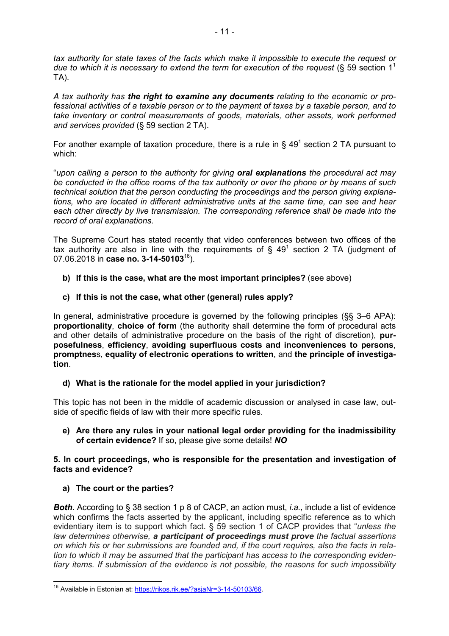*tax authority for state taxes of the facts which make it impossible to execute the request or*  due to which it is necessary to extend the term for execution of the request (§ 59 section 1<sup>1</sup> TA).

*A tax authority has the right to examine any documents relating to the economic or professional activities of a taxable person or to the payment of taxes by a taxable person, and to take inventory or control measurements of goods, materials, other assets, work performed and services provided* (§ 59 section 2 TA).

For another example of taxation procedure, there is a rule in  $\delta$  49<sup>1</sup> section 2 TA pursuant to which:

"*upon calling a person to the authority for giving oral explanations the procedural act may be conducted in the office rooms of the tax authority or over the phone or by means of such technical solution that the person conducting the proceedings and the person giving explanations, who are located in different administrative units at the same time, can see and hear each other directly by live transmission. The corresponding reference shall be made into the record of oral explanations*.

The Supreme Court has stated recently that video conferences between two offices of the tax authority are also in line with the requirements of  $\delta$  49<sup>1</sup> section 2 TA (judgment of 07.06.2018 in **case no. 3-14-50103**<sup>16</sup>).

**b) If this is the case, what are the most important principles?** (see above)

### **c) If this is not the case, what other (general) rules apply?**

In general, administrative procedure is governed by the following principles (§§ 3–6 APA): **proportionality**, **choice of form** (the authority shall determine the form of procedural acts and other details of administrative procedure on the basis of the right of discretion), **purposefulness**, **efficiency**, **avoiding superfluous costs and inconveniences to persons**, **promptnes**s, **equality of electronic operations to written**, and **the principle of investigation**.

# **d) What is the rationale for the model applied in your jurisdiction?**

This topic has not been in the middle of academic discussion or analysed in case law, outside of specific fields of law with their more specific rules.

#### **e) Are there any rules in your national legal order providing for the inadmissibility of certain evidence?** If so, please give some details! *NO*

#### **5. In court proceedings, who is responsible for the presentation and investigation of facts and evidence?**

#### **a) The court or the parties?**

**Both.** According to § 38 section 1 p 8 of CACP, an action must, *i.a.*, include a list of evidence which confirms the facts asserted by the applicant, including specific reference as to which evidentiary item is to support which fact. § 59 section 1 of CACP provides that "*unless the law determines otherwise, a participant of proceedings must prove the factual assertions on which his or her submissions are founded and, if the court requires, also the facts in relation to which it may be assumed that the participant has access to the corresponding evidentiary items. If submission of the evidence is not possible, the reasons for such impossibility* 

<sup>16</sup> Available in Estonian at: https://rikos.rik.ee/?asjaNr=3-14-50103/66.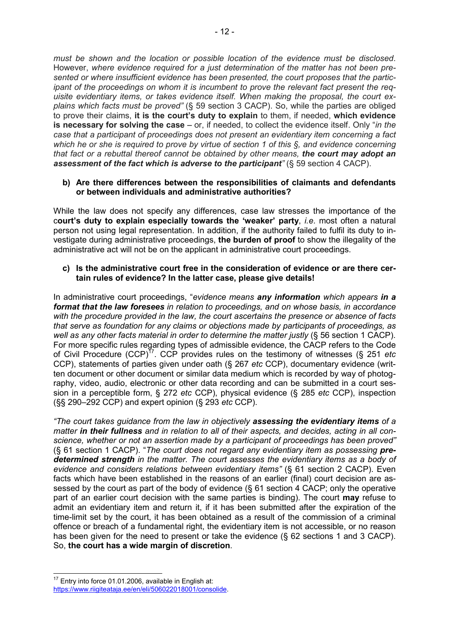*must be shown and the location or possible location of the evidence must be disclosed*. However, *where evidence required for a just determination of the matter has not been presented or where insufficient evidence has been presented, the court proposes that the participant of the proceedings on whom it is incumbent to prove the relevant fact present the requisite evidentiary items, or takes evidence itself. When making the proposal, the court explains which facts must be proved"* (§ 59 section 3 CACP). So, while the parties are obliged to prove their claims, **it is the court's duty to explain** to them, if needed, **which evidence is necessary for solving the case** – or, if needed, to collect the evidence itself. Only "*in the case that a participant of proceedings does not present an evidentiary item concerning a fact which he or she is required to prove by virtue of section 1 of this §, and evidence concerning that fact or a rebuttal thereof cannot be obtained by other means, the court may adopt an assessment of the fact which is adverse to the participant"* (§ 59 section 4 CACP).

#### **b) Are there differences between the responsibilities of claimants and defendants or between individuals and administrative authorities?**

While the law does not specify any differences, case law stresses the importance of the c**ourt's duty to explain especially towards the 'weaker' party**, *i.e*. most often a natural person not using legal representation. In addition, if the authority failed to fulfil its duty to investigate during administrative proceedings, **the burden of proof** to show the illegality of the administrative act will not be on the applicant in administrative court proceedings.

#### **c) Is the administrative court free in the consideration of evidence or are there certain rules of evidence? In the latter case, please give details!**

In administrative court proceedings, "*evidence means any information which appears in a format that the law foresees in relation to proceedings, and on whose basis, in accordance with the procedure provided in the law, the court ascertains the presence or absence of facts that serve as foundation for any claims or objections made by participants of proceedings, as well as any other facts material in order to determine the matter justly* (§ 56 section 1 CACP). For more specific rules regarding types of admissible evidence, the CACP refers to the Code of Civil Procedure (CCP)<sup>17</sup>. CCP provides rules on the testimony of witnesses (§ 251 *etc* CCP), statements of parties given under oath (§ 267 *etc* CCP), documentary evidence (written document or other document or similar data medium which is recorded by way of photography, video, audio, electronic or other data recording and can be submitted in a court session in a perceptible form, § 272 *etc* CCP), physical evidence (§ 285 *etc* CCP), inspection (§§ 290–292 CCP) and expert opinion (§ 293 *etc* CCP).

*"The court takes guidance from the law in objectively assessing the evidentiary items of a matter in their fullness and in relation to all of their aspects, and decides, acting in all conscience, whether or not an assertion made by a participant of proceedings has been proved"* (§ 61 section 1 CACP). "*The court does not regard any evidentiary item as possessing predetermined strength in the matter. The court assesses the evidentiary items as a body of evidence and considers relations between evidentiary items"* (§ 61 section 2 CACP). Even facts which have been established in the reasons of an earlier (final) court decision are assessed by the court as part of the body of evidence (§ 61 section 4 CACP; only the operative part of an earlier court decision with the same parties is binding). The court **may** refuse to admit an evidentiary item and return it, if it has been submitted after the expiration of the time-limit set by the court, it has been obtained as a result of the commission of a criminal offence or breach of a fundamental right, the evidentiary item is not accessible, or no reason has been given for the need to present or take the evidence (§ 62 sections 1 and 3 CACP). So, **the court has a wide margin of discretion**.

<sup>&</sup>lt;sup>17</sup> Entry into force 01.01.2006, available in English at: https://www.riigiteataja.ee/en/eli/506022018001/consolide.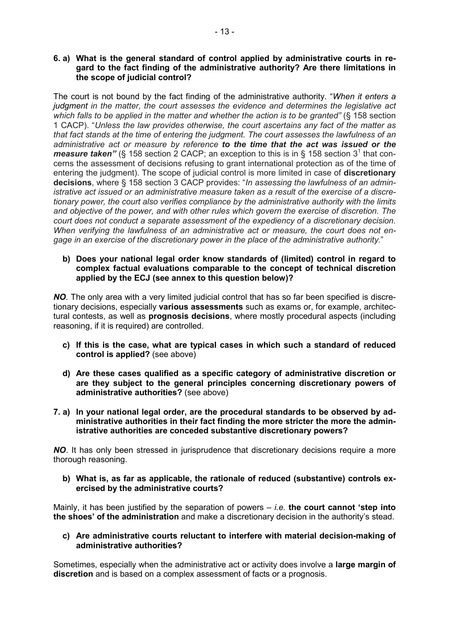#### **6. a) What is the general standard of control applied by administrative courts in regard to the fact finding of the administrative authority? Are there limitations in the scope of judicial control?**

The court is not bound by the fact finding of the administrative authority. "*When it enters a judgment in the matter, the court assesses the evidence and determines the legislative act which falls to be applied in the matter and whether the action is to be granted"* (§ 158 section 1 CACP). "*Unless the law provides otherwise, the court ascertains any fact of the matter as that fact stands at the time of entering the judgment. The court assesses the lawfulness of an administrative act or measure by reference to the time that the act was issued or the measure taken"* (§ 158 section 2 CACP; an exception to this is in § 158 section 3<sup>1</sup> that concerns the assessment of decisions refusing to grant international protection as of the time of entering the judgment). The scope of judicial control is more limited in case of **discretionary decisions**, where § 158 section 3 CACP provides: "*In assessing the lawfulness of an administrative act issued or an administrative measure taken as a result of the exercise of a discretionary power, the court also verifies compliance by the administrative authority with the limits and objective of the power, and with other rules which govern the exercise of discretion. The court does not conduct a separate assessment of the expediency of a discretionary decision. When verifying the lawfulness of an administrative act or measure, the court does not engage in an exercise of the discretionary power in the place of the administrative authority.*"

#### **b) Does your national legal order know standards of (limited) control in regard to complex factual evaluations comparable to the concept of technical discretion applied by the ECJ (see annex to this question below)?**

*NO.* The only area with a very limited judicial control that has so far been specified is discretionary decisions, especially **various assessments** such as exams or, for example, architectural contests, as well as **prognosis decisions**, where mostly procedural aspects (including reasoning, if it is required) are controlled.

- **c) If this is the case, what are typical cases in which such a standard of reduced control is applied?** (see above)
- **d) Are these cases qualified as a specific category of administrative discretion or are they subject to the general principles concerning discretionary powers of administrative authorities?** (see above)
- **7. a) In your national legal order, are the procedural standards to be observed by administrative authorities in their fact finding the more stricter the more the administrative authorities are conceded substantive discretionary powers?**

**NO**. It has only been stressed in jurisprudence that discretionary decisions require a more thorough reasoning.

**b) What is, as far as applicable, the rationale of reduced (substantive) controls exercised by the administrative courts?** 

Mainly, it has been justified by the separation of powers – *i.e.* **the court cannot 'step into the shoes' of the administration** and make a discretionary decision in the authority's stead.

#### **c) Are administrative courts reluctant to interfere with material decision-making of administrative authorities?**

Sometimes, especially when the administrative act or activity does involve a **large margin of discretion** and is based on a complex assessment of facts or a prognosis.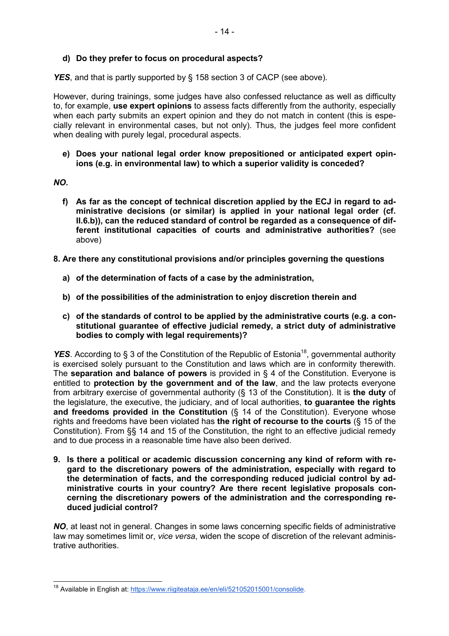#### **d) Do they prefer to focus on procedural aspects?**

**YES**, and that is partly supported by § 158 section 3 of CACP (see above).

However, during trainings, some judges have also confessed reluctance as well as difficulty to, for example, **use expert opinions** to assess facts differently from the authority, especially when each party submits an expert opinion and they do not match in content (this is especially relevant in environmental cases, but not only). Thus, the judges feel more confident when dealing with purely legal, procedural aspects.

**e) Does your national legal order know prepositioned or anticipated expert opinions (e.g. in environmental law) to which a superior validity is conceded?** 

#### *NO.*

- **f) As far as the concept of technical discretion applied by the ECJ in regard to administrative decisions (or similar) is applied in your national legal order (cf. II.6.b)), can the reduced standard of control be regarded as a consequence of different institutional capacities of courts and administrative authorities?** (see above)
- **8. Are there any constitutional provisions and/or principles governing the questions** 
	- **a) of the determination of facts of a case by the administration,**
	- **b) of the possibilities of the administration to enjoy discretion therein and**
	- **c) of the standards of control to be applied by the administrative courts (e.g. a constitutional guarantee of effective judicial remedy, a strict duty of administrative bodies to comply with legal requirements)?**

**YES**. According to § 3 of the Constitution of the Republic of Estonia<sup>18</sup>, governmental authority is exercised solely pursuant to the Constitution and laws which are in conformity therewith. The **separation and balance of powers** is provided in § 4 of the Constitution. Everyone is entitled to **protection by the government and of the law**, and the law protects everyone from arbitrary exercise of governmental authority (§ 13 of the Constitution). It is **the duty** of the legislature, the executive, the judiciary, and of local authorities, **to guarantee the rights and freedoms provided in the Constitution** (§ 14 of the Constitution). Everyone whose rights and freedoms have been violated has **the right of recourse to the courts** (§ 15 of the Constitution). From §§ 14 and 15 of the Constitution, the right to an effective judicial remedy and to due process in a reasonable time have also been derived.

**9. Is there a political or academic discussion concerning any kind of reform with regard to the discretionary powers of the administration, especially with regard to the determination of facts, and the corresponding reduced judicial control by administrative courts in your country? Are there recent legislative proposals concerning the discretionary powers of the administration and the corresponding reduced judicial control?** 

*NO*, at least not in general. Changes in some laws concerning specific fields of administrative law may sometimes limit or, *vice versa*, widen the scope of discretion of the relevant administrative authorities.

<sup>&</sup>lt;sup>18</sup> Available in English at: https://www.riigiteataja.ee/en/eli/521052015001/consolide.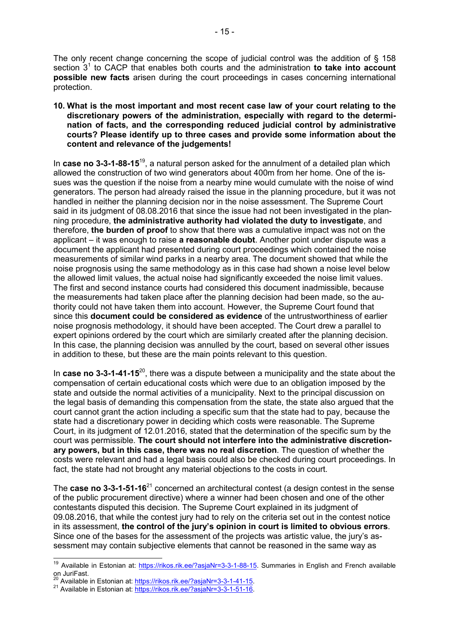The only recent change concerning the scope of judicial control was the addition of § 158 section 3<sup>1</sup> to CACP that enables both courts and the administration to take into account **possible new facts** arisen during the court proceedings in cases concerning international protection.

**10. What is the most important and most recent case law of your court relating to the discretionary powers of the administration, especially with regard to the determination of facts, and the corresponding reduced judicial control by administrative courts? Please identify up to three cases and provide some information about the content and relevance of the judgements!** 

In **case no 3-3-1-88-15**<sup>19</sup>, a natural person asked for the annulment of a detailed plan which allowed the construction of two wind generators about 400m from her home. One of the issues was the question if the noise from a nearby mine would cumulate with the noise of wind generators. The person had already raised the issue in the planning procedure, but it was not handled in neither the planning decision nor in the noise assessment. The Supreme Court said in its judgment of 08.08.2016 that since the issue had not been investigated in the planning procedure, **the administrative authority had violated the duty to investigate**, and therefore, **the burden of proof** to show that there was a cumulative impact was not on the applicant – it was enough to raise **a reasonable doubt**. Another point under dispute was a document the applicant had presented during court proceedings which contained the noise measurements of similar wind parks in a nearby area. The document showed that while the noise prognosis using the same methodology as in this case had shown a noise level below the allowed limit values, the actual noise had significantly exceeded the noise limit values. The first and second instance courts had considered this document inadmissible, because the measurements had taken place after the planning decision had been made, so the authority could not have taken them into account. However, the Supreme Court found that since this **document could be considered as evidence** of the untrustworthiness of earlier noise prognosis methodology, it should have been accepted. The Court drew a parallel to expert opinions ordered by the court which are similarly created after the planning decision. In this case, the planning decision was annulled by the court, based on several other issues in addition to these, but these are the main points relevant to this question.

In **case no 3-3-1-41-15**<sup>20</sup>, there was a dispute between a municipality and the state about the compensation of certain educational costs which were due to an obligation imposed by the state and outside the normal activities of a municipality. Next to the principal discussion on the legal basis of demanding this compensation from the state, the state also argued that the court cannot grant the action including a specific sum that the state had to pay, because the state had a discretionary power in deciding which costs were reasonable. The Supreme Court, in its judgment of 12.01.2016, stated that the determination of the specific sum by the court was permissible. **The court should not interfere into the administrative discretionary powers, but in this case, there was no real discretion**. The question of whether the costs were relevant and had a legal basis could also be checked during court proceedings. In fact, the state had not brought any material objections to the costs in court.

The **case no 3-3-1-51-16**<sup>21</sup> concerned an architectural contest (a design contest in the sense of the public procurement directive) where a winner had been chosen and one of the other contestants disputed this decision. The Supreme Court explained in its judgment of 09.08.2016, that while the contest jury had to rely on the criteria set out in the contest notice in its assessment, **the control of the jury's opinion in court is limited to obvious errors**. Since one of the bases for the assessment of the projects was artistic value, the jury's assessment may contain subjective elements that cannot be reasoned in the same way as

<sup>&</sup>lt;sup>19</sup> Available in Estonian at: https://rikos.rik.ee/?asjaNr=3-3-1-88-15. Summaries in English and French available on JuriFast.

 $^{20}$  Available in Estonian at: https://rikos.rik.ee/?asiaNr=3-3-1-41-15.

<sup>&</sup>lt;sup>21</sup> Available in Estonian at: https://rikos.rik.ee/?asjaNr=3-3-1-51-16.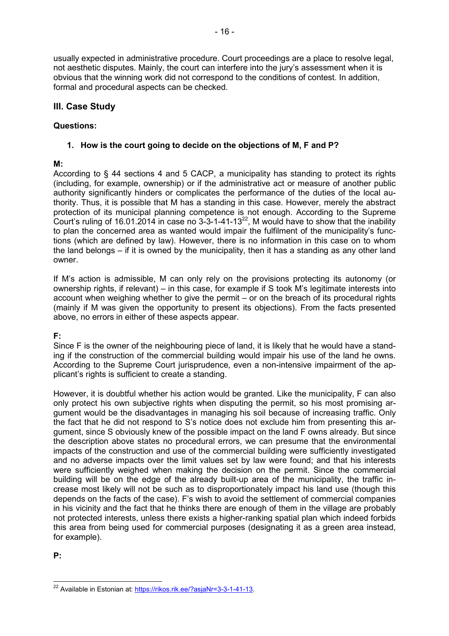usually expected in administrative procedure. Court proceedings are a place to resolve legal, not aesthetic disputes. Mainly, the court can interfere into the jury's assessment when it is obvious that the winning work did not correspond to the conditions of contest. In addition, formal and procedural aspects can be checked.

# **III. Case Study**

# **Questions:**

### **1. How is the court going to decide on the objections of M, F and P?**

### **M:**

According to § 44 sections 4 and 5 CACP, a municipality has standing to protect its rights (including, for example, ownership) or if the administrative act or measure of another public authority significantly hinders or complicates the performance of the duties of the local authority. Thus, it is possible that M has a standing in this case. However, merely the abstract protection of its municipal planning competence is not enough. According to the Supreme Court's ruling of 16.01.2014 in case no 3-3-1-41-13 $^{22}$ , M would have to show that the inability to plan the concerned area as wanted would impair the fulfilment of the municipality's functions (which are defined by law). However, there is no information in this case on to whom the land belongs *–* if it is owned by the municipality, then it has a standing as any other land owner.

If M's action is admissible, M can only rely on the provisions protecting its autonomy (or ownership rights, if relevant) – in this case, for example if S took M's legitimate interests into account when weighing whether to give the permit – or on the breach of its procedural rights (mainly if M was given the opportunity to present its objections). From the facts presented above, no errors in either of these aspects appear.

#### **F:**

Since F is the owner of the neighbouring piece of land, it is likely that he would have a standing if the construction of the commercial building would impair his use of the land he owns. According to the Supreme Court jurisprudence, even a non-intensive impairment of the applicant's rights is sufficient to create a standing.

However, it is doubtful whether his action would be granted. Like the municipality, F can also only protect his own subjective rights when disputing the permit, so his most promising argument would be the disadvantages in managing his soil because of increasing traffic. Only the fact that he did not respond to S's notice does not exclude him from presenting this argument, since S obviously knew of the possible impact on the land F owns already. But since the description above states no procedural errors, we can presume that the environmental impacts of the construction and use of the commercial building were sufficiently investigated and no adverse impacts over the limit values set by law were found; and that his interests were sufficiently weighed when making the decision on the permit. Since the commercial building will be on the edge of the already built-up area of the municipality, the traffic increase most likely will not be such as to disproportionately impact his land use (though this depends on the facts of the case). F's wish to avoid the settlement of commercial companies in his vicinity and the fact that he thinks there are enough of them in the village are probably not protected interests, unless there exists a higher-ranking spatial plan which indeed forbids this area from being used for commercial purposes (designating it as a green area instead, for example).

**P:**

 <sup>22</sup> Available in Estonian at: https://rikos.rik.ee/?asjaNr=3-3-1-41-13.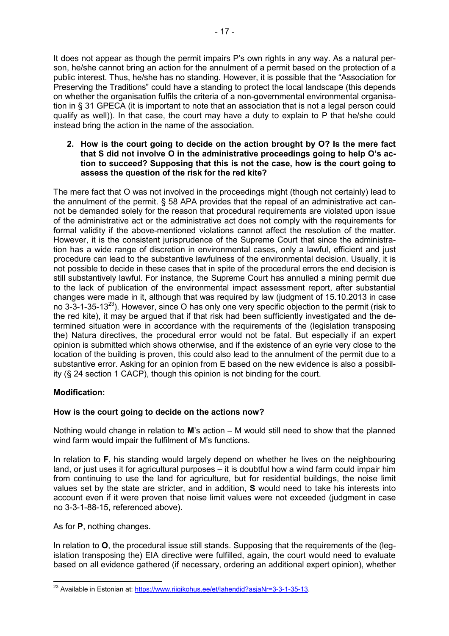It does not appear as though the permit impairs P's own rights in any way. As a natural person, he/she cannot bring an action for the annulment of a permit based on the protection of a public interest. Thus, he/she has no standing. However, it is possible that the "Association for Preserving the Traditions" could have a standing to protect the local landscape (this depends on whether the organisation fulfils the criteria of a non-governmental environmental organisation in § 31 GPECA (it is important to note that an association that is not a legal person could qualify as well)). In that case, the court may have a duty to explain to P that he/she could instead bring the action in the name of the association.

#### **2. How is the court going to decide on the action brought by O? Is the mere fact that S did not involve O in the administrative proceedings going to help O's action to succeed? Supposing that this is not the case, how is the court going to assess the question of the risk for the red kite?**

The mere fact that O was not involved in the proceedings might (though not certainly) lead to the annulment of the permit. § 58 APA provides that the repeal of an administrative act cannot be demanded solely for the reason that procedural requirements are violated upon issue of the administrative act or the administrative act does not comply with the requirements for formal validity if the above-mentioned violations cannot affect the resolution of the matter. However, it is the consistent jurisprudence of the Supreme Court that since the administration has a wide range of discretion in environmental cases, only a lawful, efficient and just procedure can lead to the substantive lawfulness of the environmental decision. Usually, it is not possible to decide in these cases that in spite of the procedural errors the end decision is still substantively lawful. For instance, the Supreme Court has annulled a mining permit due to the lack of publication of the environmental impact assessment report, after substantial changes were made in it, although that was required by law (judgment of 15.10.2013 in case no 3-3-1-35-13<sup>23</sup>). However, since O has only one very specific objection to the permit (risk to the red kite), it may be argued that if that risk had been sufficiently investigated and the determined situation were in accordance with the requirements of the (legislation transposing the) Natura directives, the procedural error would not be fatal. But especially if an expert opinion is submitted which shows otherwise, and if the existence of an eyrie very close to the location of the building is proven, this could also lead to the annulment of the permit due to a substantive error. Asking for an opinion from E based on the new evidence is also a possibility (§ 24 section 1 CACP), though this opinion is not binding for the court.

# **Modification:**

# **How is the court going to decide on the actions now?**

Nothing would change in relation to **M**'s action *–* M would still need to show that the planned wind farm would impair the fulfilment of M's functions.

In relation to **F**, his standing would largely depend on whether he lives on the neighbouring land, or just uses it for agricultural purposes *–* it is doubtful how a wind farm could impair him from continuing to use the land for agriculture, but for residential buildings, the noise limit values set by the state are stricter, and in addition, **S** would need to take his interests into account even if it were proven that noise limit values were not exceeded (judgment in case no 3-3-1-88-15, referenced above).

As for **P**, nothing changes.

In relation to **O**, the procedural issue still stands. Supposing that the requirements of the (legislation transposing the) EIA directive were fulfilled, again, the court would need to evaluate based on all evidence gathered (if necessary, ordering an additional expert opinion), whether

<sup>&</sup>lt;sup>23</sup> Available in Estonian at: https://www.riigikohus.ee/et/lahendid?asjaNr=3-3-1-35-13.